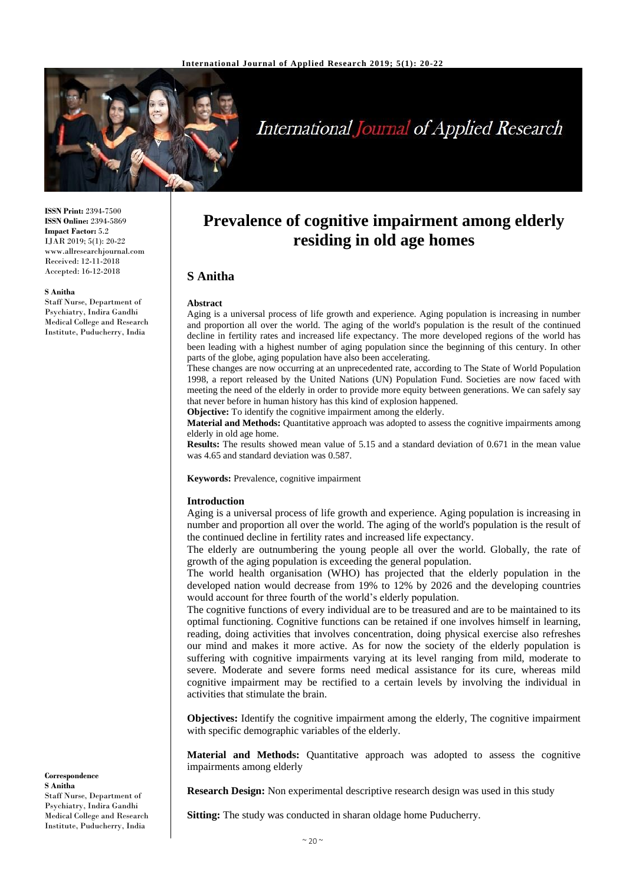

# **International Journal of Applied Research**

**ISSN Print:** 2394-7500 **ISSN Online:** 2394-5869 **Impact Factor:** 5.2 IJAR 2019; 5(1): 20-22 www.allresearchjournal.com Received: 12-11-2018 Accepted: 16-12-2018

#### **S Anitha**

Staff Nurse, Department of Psychiatry, Indira Gandhi Medical College and Research Institute, Puducherry, India

# **Prevalence of cognitive impairment among elderly residing in old age homes**

## **S Anitha**

#### **Abstract**

Aging is a universal process of life growth and experience. Aging population is increasing in number and proportion all over the world. The aging of the world's population is the result of the continued decline in fertility rates and increased life expectancy. The more developed regions of the world has been leading with a highest number of aging population since the beginning of this century. In other parts of the globe, aging population have also been accelerating.

These changes are now occurring at an unprecedented rate, according to The State of World Population 1998, a report released by the United Nations (UN) Population Fund. Societies are now faced with meeting the need of the elderly in order to provide more equity between generations. We can safely say that never before in human history has this kind of explosion happened.

**Objective:** To identify the cognitive impairment among the elderly.

**Material and Methods:** Quantitative approach was adopted to assess the cognitive impairments among elderly in old age home.

**Results:** The results showed mean value of 5.15 and a standard deviation of 0.671 in the mean value was 4.65 and standard deviation was 0.587.

**Keywords:** Prevalence, cognitive impairment

#### **Introduction**

Aging is a universal process of life growth and experience. Aging population is increasing in number and proportion all over the world. The aging of the world's population is the result of the continued decline in fertility rates and increased life expectancy.

The elderly are outnumbering the young people all over the world. Globally, the rate of growth of the aging population is exceeding the general population.

The world health organisation (WHO) has projected that the elderly population in the developed nation would decrease from 19% to 12% by 2026 and the developing countries would account for three fourth of the world's elderly population.

The cognitive functions of every individual are to be treasured and are to be maintained to its optimal functioning. Cognitive functions can be retained if one involves himself in learning, reading, doing activities that involves concentration, doing physical exercise also refreshes our mind and makes it more active. As for now the society of the elderly population is suffering with cognitive impairments varying at its level ranging from mild, moderate to severe. Moderate and severe forms need medical assistance for its cure, whereas mild cognitive impairment may be rectified to a certain levels by involving the individual in activities that stimulate the brain.

**Objectives:** Identify the cognitive impairment among the elderly, The cognitive impairment with specific demographic variables of the elderly.

**Material and Methods:** Quantitative approach was adopted to assess the cognitive impairments among elderly

**Research Design:** Non experimental descriptive research design was used in this study

Sitting: The study was conducted in sharan oldage home Puducherry.

**Correspondence S Anitha** Staff Nurse, Department of Psychiatry, Indira Gandhi Medical College and Research Institute, Puducherry, India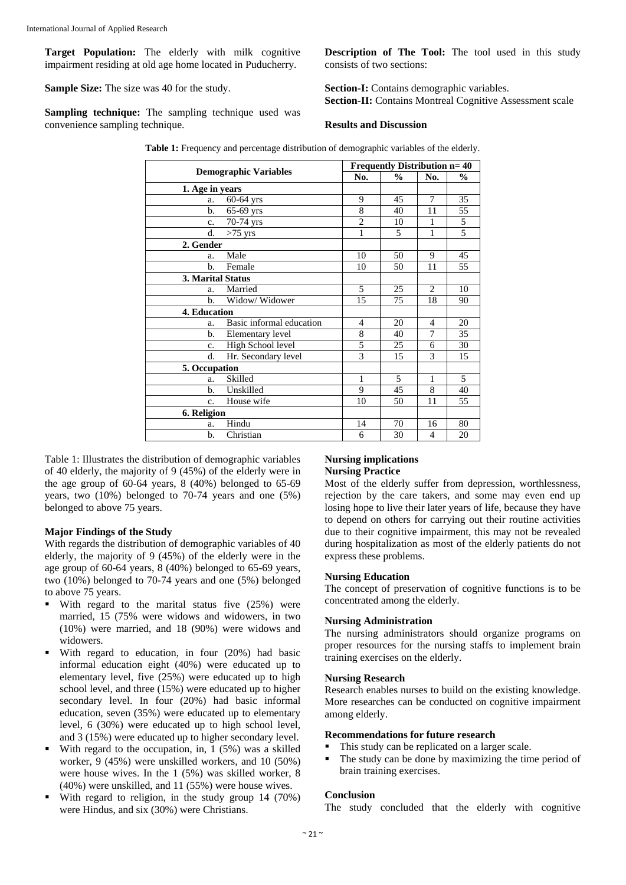**Target Population:** The elderly with milk cognitive impairment residing at old age home located in Puducherry.

**Sample Size:** The size was 40 for the study.

**Sampling technique:** The sampling technique used was convenience sampling technique.

**Description of The Tool:** The tool used in this study consists of two sections:

**Section-I:** Contains demographic variables. **Section-II:** Contains Montreal Cognitive Assessment scale

### **Results and Discussion**

**Table 1:** Frequency and percentage distribution of demographic variables of the elderly.

| <b>Demographic Variables</b> |                          | <b>Frequently Distribution n= 40</b> |               |                |                |
|------------------------------|--------------------------|--------------------------------------|---------------|----------------|----------------|
|                              |                          | No.                                  | $\frac{0}{0}$ | No.            | $\frac{6}{9}$  |
| 1. Age in years              |                          |                                      |               |                |                |
| a.                           | $60-64$ yrs              | 9                                    | 45            | 7              | 35             |
| b.                           | $65-69$ yrs              | 8                                    | 40            | 11             | 55             |
| c.                           | 70-74 yrs                | $\overline{2}$                       | 10            | 1              | 5              |
| d.                           | $>75$ yrs                | 1                                    | 5             | 1              | $\overline{5}$ |
| 2. Gender                    |                          |                                      |               |                |                |
| a.                           | Male                     | 10                                   | 50            | 9              | 45             |
| b.                           | Female                   | 10                                   | 50            | 11             | 55             |
| 3. Marital Status            |                          |                                      |               |                |                |
| a.                           | Married                  | 5                                    | 25            | 2              | 10             |
| b.                           | Widow/ Widower           | 15                                   | 75            | 18             | 90             |
| 4. Education                 |                          |                                      |               |                |                |
| a.                           | Basic informal education | $\overline{4}$                       | 20            | $\overline{4}$ | 20             |
| b.                           | Elementary level         | 8                                    | 40            | 7              | 35             |
| c.                           | High School level        | 5                                    | 25            | 6              | 30             |
| d.                           | Hr. Secondary level      | 3                                    | 15            | 3              | 15             |
| 5. Occupation                |                          |                                      |               |                |                |
| a.                           | Skilled                  | $\mathbf{1}$                         | 5             | $\mathbf{1}$   | 5              |
| b.                           | Unskilled                | 9                                    | 45            | 8              | 40             |
| c.                           | House wife               | 10                                   | 50            | 11             | 55             |
| 6. Religion                  |                          |                                      |               |                |                |
| a.                           | Hindu                    | 14                                   | 70            | 16             | 80             |
| b.                           | Christian                | 6                                    | 30            | $\overline{4}$ | 20             |

Table 1: Illustrates the distribution of demographic variables of 40 elderly, the majority of 9 (45%) of the elderly were in the age group of 60-64 years, 8 (40%) belonged to 65-69 years, two (10%) belonged to 70-74 years and one (5%) belonged to above 75 years.

#### **Major Findings of the Study**

With regards the distribution of demographic variables of 40 elderly, the majority of 9 (45%) of the elderly were in the age group of 60-64 years, 8 (40%) belonged to 65-69 years, two (10%) belonged to 70-74 years and one (5%) belonged to above 75 years.

- $\blacksquare$  With regard to the marital status five (25%) were married, 15 (75% were widows and widowers, in two (10%) were married, and 18 (90%) were widows and widowers.
- With regard to education, in four (20%) had basic informal education eight (40%) were educated up to elementary level, five (25%) were educated up to high school level, and three (15%) were educated up to higher secondary level. In four (20%) had basic informal education, seven (35%) were educated up to elementary level, 6 (30%) were educated up to high school level, and 3 (15%) were educated up to higher secondary level.
- With regard to the occupation, in, 1 (5%) was a skilled worker, 9 (45%) were unskilled workers, and 10 (50%) were house wives. In the 1 (5%) was skilled worker, 8 (40%) were unskilled, and 11 (55%) were house wives.
- With regard to religion, in the study group 14 (70%) were Hindus, and six (30%) were Christians.

#### **Nursing implications Nursing Practice**

Most of the elderly suffer from depression, worthlessness, rejection by the care takers, and some may even end up losing hope to live their later years of life, because they have to depend on others for carrying out their routine activities due to their cognitive impairment, this may not be revealed during hospitalization as most of the elderly patients do not express these problems.

#### **Nursing Education**

The concept of preservation of cognitive functions is to be concentrated among the elderly.

#### **Nursing Administration**

The nursing administrators should organize programs on proper resources for the nursing staffs to implement brain training exercises on the elderly.

#### **Nursing Research**

Research enables nurses to build on the existing knowledge. More researches can be conducted on cognitive impairment among elderly.

#### **Recommendations for future research**

- This study can be replicated on a larger scale.
- The study can be done by maximizing the time period of brain training exercises.

#### **Conclusion**

The study concluded that the elderly with cognitive